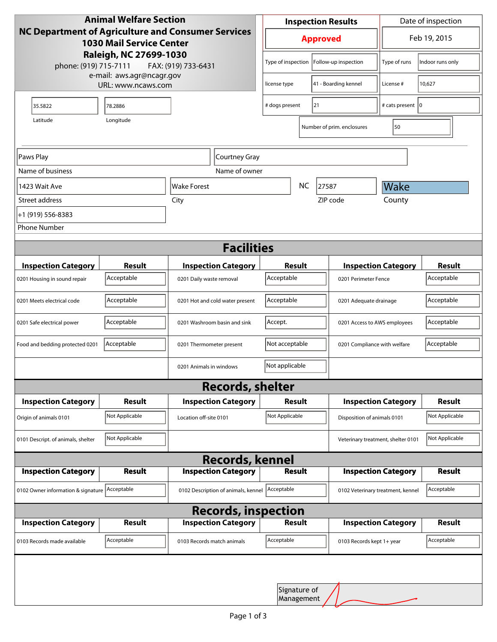| <b>Animal Welfare Section</b><br>NC Department of Agriculture and Consumer Services<br><b>1030 Mail Service Center</b> |                    |                                     |                                      | <b>Inspection Results</b> |                              |                                    | Date of inspection         |                  |  |
|------------------------------------------------------------------------------------------------------------------------|--------------------|-------------------------------------|--------------------------------------|---------------------------|------------------------------|------------------------------------|----------------------------|------------------|--|
|                                                                                                                        |                    |                                     |                                      | <b>Approved</b>           |                              |                                    | Feb 19, 2015               |                  |  |
| Raleigh, NC 27699-1030<br>phone: (919) 715-7111<br>FAX: (919) 733-6431<br>e-mail: aws.agr@ncagr.gov                    |                    |                                     | Type of inspection                   |                           |                              | Follow-up inspection               | Type of runs               | Indoor runs only |  |
|                                                                                                                        | URL: www.ncaws.com |                                     | license type                         |                           |                              | 41 - Boarding kennel               | License #                  | 10,627           |  |
| 35.5822                                                                                                                | 78.2886            |                                     | 21<br># dogs present                 |                           |                              |                                    | # cats present   0         |                  |  |
| Longitude<br>Latitude<br>Number of prim. enclosures                                                                    |                    |                                     |                                      |                           | 50                           |                                    |                            |                  |  |
| Paws Play<br>Courtney Gray                                                                                             |                    |                                     |                                      |                           |                              |                                    |                            |                  |  |
| Name of business                                                                                                       |                    | Name of owner                       |                                      |                           |                              |                                    |                            |                  |  |
| 1423 Wait Ave                                                                                                          |                    | Wake Forest                         | <b>NC</b><br>27587                   |                           |                              | Wake                               |                            |                  |  |
| Street address                                                                                                         |                    | City                                | ZIP code                             |                           |                              |                                    | County                     |                  |  |
| +1 (919) 556-8383                                                                                                      |                    |                                     |                                      |                           |                              |                                    |                            |                  |  |
| <b>Phone Number</b>                                                                                                    |                    |                                     |                                      |                           |                              |                                    |                            |                  |  |
| <b>Facilities</b>                                                                                                      |                    |                                     |                                      |                           |                              |                                    |                            |                  |  |
| <b>Inspection Category</b>                                                                                             | <b>Result</b>      | <b>Inspection Category</b>          |                                      | Result                    |                              |                                    | <b>Inspection Category</b> | <b>Result</b>    |  |
| 0201 Housing in sound repair                                                                                           | Acceptable         | 0201 Daily waste removal            | Acceptable                           |                           | 0201 Perimeter Fence         |                                    |                            | Acceptable       |  |
| 0201 Meets electrical code                                                                                             | Acceptable         | 0201 Hot and cold water present     | Acceptable<br>0201 Adequate drainage |                           |                              | Acceptable                         |                            |                  |  |
| 0201 Safe electrical power                                                                                             | Acceptable         | 0201 Washroom basin and sink        | Accept.                              |                           |                              | 0201 Access to AWS employees       |                            | Acceptable       |  |
| Food and bedding protected 0201                                                                                        | Acceptable         | 0201 Thermometer present            | Not acceptable                       |                           | 0201 Compliance with welfare |                                    | Acceptable                 |                  |  |
|                                                                                                                        |                    | 0201 Animals in windows             | Not applicable                       |                           |                              |                                    |                            |                  |  |
| <b>Records, shelter</b>                                                                                                |                    |                                     |                                      |                           |                              |                                    |                            |                  |  |
| <b>Inspection Category</b>                                                                                             | <b>Result</b>      | <b>Inspection Category</b>          | <b>Result</b>                        |                           |                              |                                    | <b>Inspection Category</b> | <b>Result</b>    |  |
| Origin of animals 0101                                                                                                 | Not Applicable     | Location off-site 0101              | Not Applicable                       |                           |                              | Disposition of animals 0101        |                            | Not Applicable   |  |
| 0101 Descript. of animals, shelter                                                                                     | Not Applicable     |                                     |                                      |                           |                              | Veterinary treatment, shelter 0101 |                            | Not Applicable   |  |
| <b>Records, kennel</b>                                                                                                 |                    |                                     |                                      |                           |                              |                                    |                            |                  |  |
| <b>Inspection Category</b>                                                                                             | Result             | <b>Inspection Category</b>          | <b>Result</b>                        |                           |                              |                                    | <b>Inspection Category</b> | <b>Result</b>    |  |
| 0102 Owner information & signature Acceptable                                                                          |                    | 0102 Description of animals, kennel | Acceptable                           |                           |                              | 0102 Veterinary treatment, kennel  |                            | Acceptable       |  |
| <b>Records, inspection</b>                                                                                             |                    |                                     |                                      |                           |                              |                                    |                            |                  |  |
| <b>Inspection Category</b>                                                                                             | <b>Result</b>      | <b>Inspection Category</b>          | <b>Result</b>                        |                           |                              |                                    | <b>Inspection Category</b> | <b>Result</b>    |  |
| 0103 Records made available                                                                                            | Acceptable         | 0103 Records match animals          | Acceptable                           |                           |                              | 0103 Records kept 1+ year          |                            | Acceptable       |  |
|                                                                                                                        |                    |                                     |                                      |                           |                              |                                    |                            |                  |  |
|                                                                                                                        |                    |                                     | Signature of<br>Management           |                           |                              |                                    |                            |                  |  |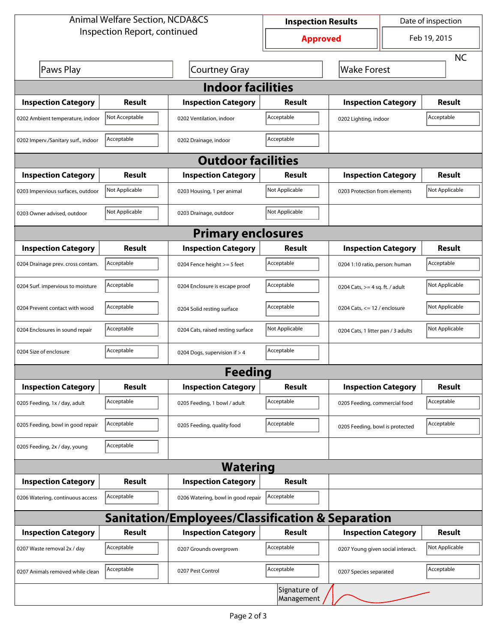| <b>Animal Welfare Section, NCDA&amp;CS</b>                  |                |                                    | <b>Inspection Results</b>  |                                     | Date of inspection |                |  |  |  |
|-------------------------------------------------------------|----------------|------------------------------------|----------------------------|-------------------------------------|--------------------|----------------|--|--|--|
| Inspection Report, continued                                |                |                                    | <b>Approved</b>            |                                     | Feb 19, 2015       |                |  |  |  |
|                                                             |                |                                    |                            |                                     |                    | <b>NC</b>      |  |  |  |
| Paws Play                                                   |                | <b>Courtney Gray</b>               |                            | <b>Wake Forest</b>                  |                    |                |  |  |  |
| <b>Indoor facilities</b>                                    |                |                                    |                            |                                     |                    |                |  |  |  |
| <b>Inspection Category</b>                                  | Result         | <b>Inspection Category</b>         | Result                     | <b>Inspection Category</b>          |                    | Result         |  |  |  |
| 0202 Ambient temperature, indoor                            | Not Acceptable | 0202 Ventilation, indoor           | Acceptable                 | Acceptable<br>0202 Lighting, indoor |                    |                |  |  |  |
| 0202 Imperv./Sanitary surf., indoor                         | Acceptable     | 0202 Drainage, indoor              | Acceptable                 |                                     |                    |                |  |  |  |
| <b>Outdoor facilities</b>                                   |                |                                    |                            |                                     |                    |                |  |  |  |
| <b>Inspection Category</b>                                  | Result         | <b>Inspection Category</b>         | Result                     | <b>Inspection Category</b>          |                    | <b>Result</b>  |  |  |  |
| 0203 Impervious surfaces, outdoor                           | Not Applicable | 0203 Housing, 1 per animal         | Not Applicable             | 0203 Protection from elements       |                    | Not Applicable |  |  |  |
| 0203 Owner advised, outdoor                                 | Not Applicable | 0203 Drainage, outdoor             | Not Applicable             |                                     |                    |                |  |  |  |
| <b>Primary enclosures</b>                                   |                |                                    |                            |                                     |                    |                |  |  |  |
| <b>Inspection Category</b>                                  | Result         | <b>Inspection Category</b>         | Result                     | <b>Inspection Category</b>          |                    | Result         |  |  |  |
| 0204 Drainage prev. cross contam.                           | Acceptable     | 0204 Fence height >= 5 feet        | Acceptable                 | 0204 1:10 ratio, person: human      |                    | Acceptable     |  |  |  |
| 0204 Surf. impervious to moisture                           | Acceptable     | 0204 Enclosure is escape proof     | Acceptable                 | 0204 Cats, $>=$ 4 sq. ft. / adult   |                    | Not Applicable |  |  |  |
| 0204 Prevent contact with wood                              | Acceptable     | 0204 Solid resting surface         | Acceptable                 | 0204 Cats, $<= 12$ / enclosure      |                    | Not Applicable |  |  |  |
| 0204 Enclosures in sound repair                             | Acceptable     | 0204 Cats, raised resting surface  | Not Applicable             | 0204 Cats, 1 litter pan / 3 adults  |                    | Not Applicable |  |  |  |
| 0204 Size of enclosure                                      | Acceptable     | 0204 Dogs, supervision if > 4      | Acceptable                 |                                     |                    |                |  |  |  |
|                                                             |                | Feeding                            |                            |                                     |                    |                |  |  |  |
| <b>Inspection Category</b>                                  | <b>Result</b>  | <b>Inspection Category</b>         | <b>Result</b>              | <b>Inspection Category</b>          |                    | <b>Result</b>  |  |  |  |
| 0205 Feeding, 1x / day, adult                               | Acceptable     | 0205 Feeding, 1 bowl / adult       | Acceptable                 | 0205 Feeding, commercial food       |                    | Acceptable     |  |  |  |
| 0205 Feeding, bowl in good repair                           | Acceptable     | 0205 Feeding, quality food         | Acceptable                 | 0205 Feeding, bowl is protected     |                    | Acceptable     |  |  |  |
| 0205 Feeding, 2x / day, young                               | Acceptable     |                                    |                            |                                     |                    |                |  |  |  |
|                                                             |                | <b>Watering</b>                    |                            |                                     |                    |                |  |  |  |
| <b>Inspection Category</b>                                  | <b>Result</b>  | <b>Inspection Category</b>         | <b>Result</b>              |                                     |                    |                |  |  |  |
| 0206 Watering, continuous access                            | Acceptable     | 0206 Watering, bowl in good repair | Acceptable                 |                                     |                    |                |  |  |  |
| <b>Sanitation/Employees/Classification &amp; Separation</b> |                |                                    |                            |                                     |                    |                |  |  |  |
| <b>Inspection Category</b>                                  | <b>Result</b>  | <b>Inspection Category</b>         | Result                     | <b>Inspection Category</b>          |                    | <b>Result</b>  |  |  |  |
| 0207 Waste removal 2x / day                                 | Acceptable     | 0207 Grounds overgrown             | Acceptable                 | 0207 Young given social interact.   |                    | Not Applicable |  |  |  |
| 0207 Animals removed while clean                            | Acceptable     | 0207 Pest Control                  | Acceptable                 | 0207 Species separated              |                    | Acceptable     |  |  |  |
|                                                             |                |                                    | Signature of<br>Management |                                     |                    |                |  |  |  |